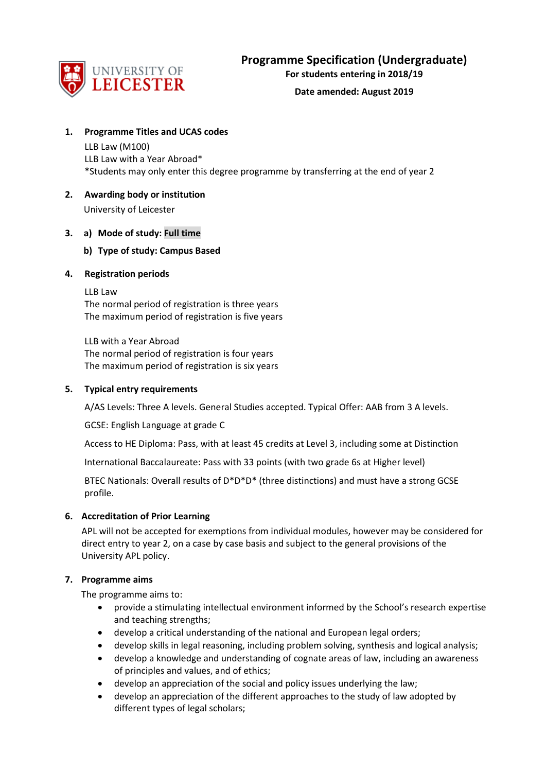

**For students entering in 2018/19**

#### **Date amended: August 2019**

#### **1. Programme Titles and UCAS codes**

LLB Law (M100) LLB Law with a Year Abroad\* \*Students may only enter this degree programme by transferring at the end of year 2

# **2. Awarding body or institution**

University of Leicester

#### **3. a) Mode of study: Full time**

# **b) Type of study: Campus Based**

#### **4. Registration periods**

LLB Law The normal period of registration is three years The maximum period of registration is five years

LLB with a Year Abroad The normal period of registration is four years The maximum period of registration is six years

#### **5. Typical entry requirements**

A/AS Levels: Three A levels. General Studies accepted. Typical Offer: AAB from 3 A levels.

GCSE: English Language at grade C

Access to HE Diploma: Pass, with at least 45 credits at Level 3, including some at Distinction

International Baccalaureate: Pass with 33 points (with two grade 6s at Higher level)

BTEC Nationals: Overall results of D\*D\*D\* (three distinctions) and must have a strong GCSE profile.

#### **6. Accreditation of Prior Learning**

APL will not be accepted for exemptions from individual modules, however may be considered for direct entry to year 2, on a case by case basis and subject to the general provisions of the University APL policy.

#### **7. Programme aims**

The programme aims to:

- provide a stimulating intellectual environment informed by the School's research expertise and teaching strengths;
- develop a critical understanding of the national and European legal orders;
- develop skills in legal reasoning, including problem solving, synthesis and logical analysis;
- develop a knowledge and understanding of cognate areas of law, including an awareness of principles and values, and of ethics;
- develop an appreciation of the social and policy issues underlying the law;
- develop an appreciation of the different approaches to the study of law adopted by different types of legal scholars;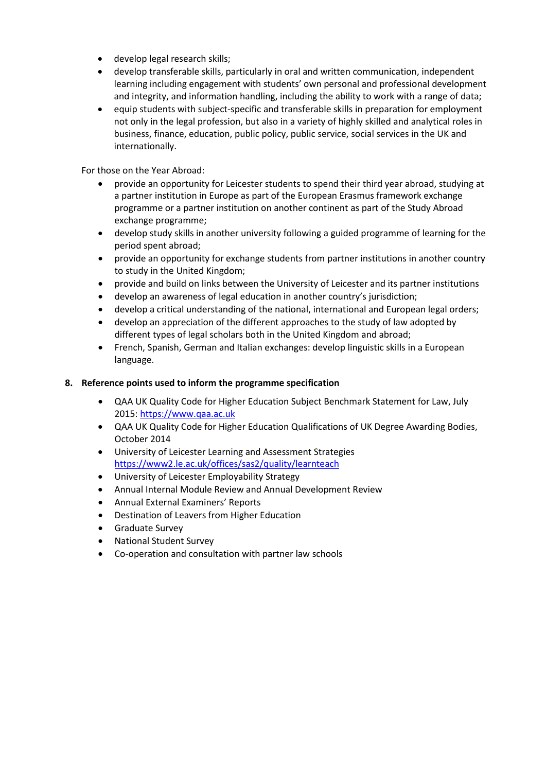- develop legal research skills;
- develop transferable skills, particularly in oral and written communication, independent learning including engagement with students' own personal and professional development and integrity, and information handling, including the ability to work with a range of data;
- equip students with subject-specific and transferable skills in preparation for employment not only in the legal profession, but also in a variety of highly skilled and analytical roles in business, finance, education, public policy, public service, social services in the UK and internationally.

For those on the Year Abroad:

- provide an opportunity for Leicester students to spend their third year abroad, studying at a partner institution in Europe as part of the European Erasmus framework exchange programme or a partner institution on another continent as part of the Study Abroad exchange programme;
- develop study skills in another university following a guided programme of learning for the period spent abroad;
- provide an opportunity for exchange students from partner institutions in another country to study in the United Kingdom;
- provide and build on links between the University of Leicester and its partner institutions
- develop an awareness of legal education in another country's jurisdiction;
- develop a critical understanding of the national, international and European legal orders;
- develop an appreciation of the different approaches to the study of law adopted by different types of legal scholars both in the United Kingdom and abroad;
- French, Spanish, German and Italian exchanges: develop linguistic skills in a European language.

# **8. Reference points used to inform the programme specification**

- QAA UK Quality Code for Higher Education Subject Benchmark Statement for Law, July 2015[: https://www.qaa.ac.uk](https://www.qaa.ac.uk/)
- QAA UK Quality Code for Higher Education Qualifications of UK Degree Awarding Bodies, October 2014
- University of Leicester Learning and Assessment Strategies <https://www2.le.ac.uk/offices/sas2/quality/learnteach>
- University of Leicester Employability Strategy
- Annual Internal Module Review and Annual Development Review
- Annual External Examiners' Reports
- Destination of Leavers from Higher Education
- Graduate Survey
- National Student Survey
- Co-operation and consultation with partner law schools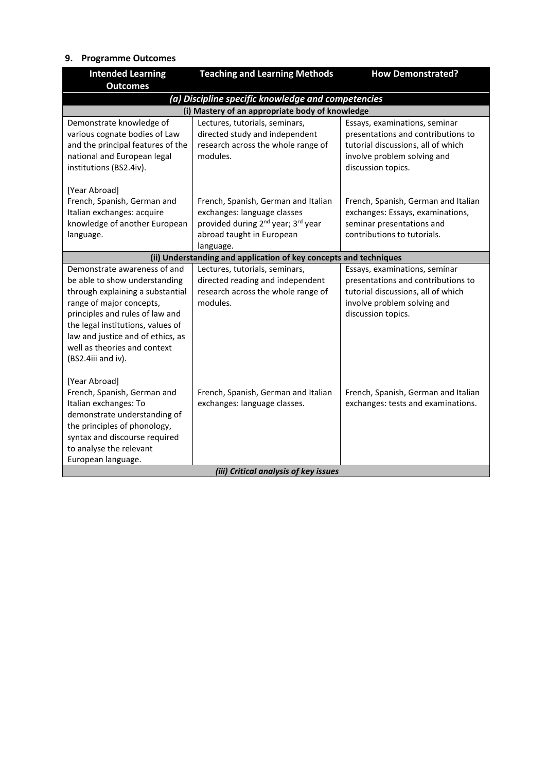# **9. Programme Outcomes**

| <b>Intended Learning</b>                     | <b>Teaching and Learning Methods</b>                               | <b>How Demonstrated?</b>            |  |  |  |  |  |  |  |  |  |  |
|----------------------------------------------|--------------------------------------------------------------------|-------------------------------------|--|--|--|--|--|--|--|--|--|--|
| <b>Outcomes</b>                              |                                                                    |                                     |  |  |  |  |  |  |  |  |  |  |
|                                              | (a) Discipline specific knowledge and competencies                 |                                     |  |  |  |  |  |  |  |  |  |  |
|                                              | (i) Mastery of an appropriate body of knowledge                    |                                     |  |  |  |  |  |  |  |  |  |  |
| Demonstrate knowledge of                     | Lectures, tutorials, seminars,                                     | Essays, examinations, seminar       |  |  |  |  |  |  |  |  |  |  |
| various cognate bodies of Law                | directed study and independent                                     | presentations and contributions to  |  |  |  |  |  |  |  |  |  |  |
| and the principal features of the            | research across the whole range of                                 | tutorial discussions, all of which  |  |  |  |  |  |  |  |  |  |  |
| national and European legal                  | modules.                                                           | involve problem solving and         |  |  |  |  |  |  |  |  |  |  |
| institutions (BS2.4iv).                      |                                                                    | discussion topics.                  |  |  |  |  |  |  |  |  |  |  |
|                                              |                                                                    |                                     |  |  |  |  |  |  |  |  |  |  |
| [Year Abroad]<br>French, Spanish, German and |                                                                    | French, Spanish, German and Italian |  |  |  |  |  |  |  |  |  |  |
| Italian exchanges: acquire                   | French, Spanish, German and Italian<br>exchanges: language classes | exchanges: Essays, examinations,    |  |  |  |  |  |  |  |  |  |  |
| knowledge of another European                | provided during 2 <sup>nd</sup> year; 3 <sup>rd</sup> year         | seminar presentations and           |  |  |  |  |  |  |  |  |  |  |
| language.                                    | abroad taught in European                                          | contributions to tutorials.         |  |  |  |  |  |  |  |  |  |  |
|                                              | language.                                                          |                                     |  |  |  |  |  |  |  |  |  |  |
|                                              | (ii) Understanding and application of key concepts and techniques  |                                     |  |  |  |  |  |  |  |  |  |  |
| Demonstrate awareness of and                 | Lectures, tutorials, seminars,                                     | Essays, examinations, seminar       |  |  |  |  |  |  |  |  |  |  |
| be able to show understanding                | directed reading and independent                                   | presentations and contributions to  |  |  |  |  |  |  |  |  |  |  |
| through explaining a substantial             | research across the whole range of                                 | tutorial discussions, all of which  |  |  |  |  |  |  |  |  |  |  |
| range of major concepts,                     | modules.                                                           | involve problem solving and         |  |  |  |  |  |  |  |  |  |  |
| principles and rules of law and              |                                                                    | discussion topics.                  |  |  |  |  |  |  |  |  |  |  |
| the legal institutions, values of            |                                                                    |                                     |  |  |  |  |  |  |  |  |  |  |
| law and justice and of ethics, as            |                                                                    |                                     |  |  |  |  |  |  |  |  |  |  |
| well as theories and context                 |                                                                    |                                     |  |  |  |  |  |  |  |  |  |  |
| (BS2.4iii and iv).                           |                                                                    |                                     |  |  |  |  |  |  |  |  |  |  |
|                                              |                                                                    |                                     |  |  |  |  |  |  |  |  |  |  |
| [Year Abroad]                                |                                                                    |                                     |  |  |  |  |  |  |  |  |  |  |
| French, Spanish, German and                  | French, Spanish, German and Italian                                | French, Spanish, German and Italian |  |  |  |  |  |  |  |  |  |  |
| Italian exchanges: To                        | exchanges: language classes.                                       | exchanges: tests and examinations.  |  |  |  |  |  |  |  |  |  |  |
| demonstrate understanding of                 |                                                                    |                                     |  |  |  |  |  |  |  |  |  |  |
| the principles of phonology,                 |                                                                    |                                     |  |  |  |  |  |  |  |  |  |  |
| syntax and discourse required                |                                                                    |                                     |  |  |  |  |  |  |  |  |  |  |
| to analyse the relevant                      |                                                                    |                                     |  |  |  |  |  |  |  |  |  |  |
| European language.                           |                                                                    |                                     |  |  |  |  |  |  |  |  |  |  |
|                                              | (iii) Critical analysis of key issues                              |                                     |  |  |  |  |  |  |  |  |  |  |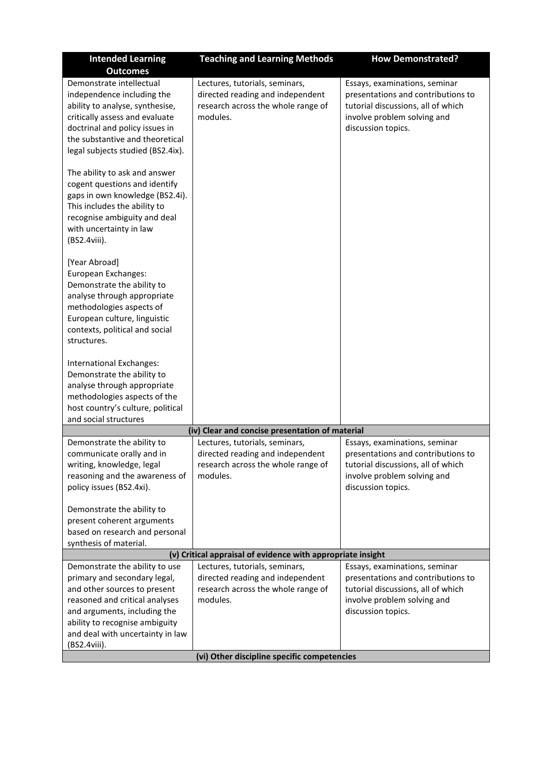| <b>Intended Learning</b>                                                                                                                                                                                                                               | <b>Teaching and Learning Methods</b>                                                                                 | <b>How Demonstrated?</b>                                                                                                                                       |
|--------------------------------------------------------------------------------------------------------------------------------------------------------------------------------------------------------------------------------------------------------|----------------------------------------------------------------------------------------------------------------------|----------------------------------------------------------------------------------------------------------------------------------------------------------------|
| <b>Outcomes</b>                                                                                                                                                                                                                                        |                                                                                                                      |                                                                                                                                                                |
| Demonstrate intellectual<br>independence including the<br>ability to analyse, synthesise,<br>critically assess and evaluate<br>doctrinal and policy issues in<br>the substantive and theoretical<br>legal subjects studied (BS2.4ix).                  | Lectures, tutorials, seminars,<br>directed reading and independent<br>research across the whole range of<br>modules. | Essays, examinations, seminar<br>presentations and contributions to<br>tutorial discussions, all of which<br>involve problem solving and<br>discussion topics. |
| The ability to ask and answer<br>cogent questions and identify<br>gaps in own knowledge (BS2.4i).<br>This includes the ability to<br>recognise ambiguity and deal<br>with uncertainty in law<br>(BS2.4viii).                                           |                                                                                                                      |                                                                                                                                                                |
| [Year Abroad]<br>European Exchanges:<br>Demonstrate the ability to<br>analyse through appropriate<br>methodologies aspects of<br>European culture, linguistic<br>contexts, political and social<br>structures.                                         |                                                                                                                      |                                                                                                                                                                |
| International Exchanges:<br>Demonstrate the ability to<br>analyse through appropriate<br>methodologies aspects of the<br>host country's culture, political<br>and social structures                                                                    |                                                                                                                      |                                                                                                                                                                |
|                                                                                                                                                                                                                                                        | (iv) Clear and concise presentation of material                                                                      |                                                                                                                                                                |
| Demonstrate the ability to<br>communicate orally and in<br>writing, knowledge, legal<br>reasoning and the awareness of<br>policy issues (BS2.4xi).<br>Demonstrate the ability to                                                                       | Lectures, tutorials, seminars,<br>directed reading and independent<br>research across the whole range of<br>modules. | Essays, examinations, seminar<br>presentations and contributions to<br>tutorial discussions, all of which<br>involve problem solving and<br>discussion topics. |
| present coherent arguments<br>based on research and personal<br>synthesis of material.                                                                                                                                                                 |                                                                                                                      |                                                                                                                                                                |
|                                                                                                                                                                                                                                                        | (v) Critical appraisal of evidence with appropriate insight                                                          |                                                                                                                                                                |
| Demonstrate the ability to use<br>primary and secondary legal,<br>and other sources to present<br>reasoned and critical analyses<br>and arguments, including the<br>ability to recognise ambiguity<br>and deal with uncertainty in law<br>(BS2.4viii). | Lectures, tutorials, seminars,<br>directed reading and independent<br>research across the whole range of<br>modules. | Essays, examinations, seminar<br>presentations and contributions to<br>tutorial discussions, all of which<br>involve problem solving and<br>discussion topics. |
|                                                                                                                                                                                                                                                        | (vi) Other discipline specific competencies                                                                          |                                                                                                                                                                |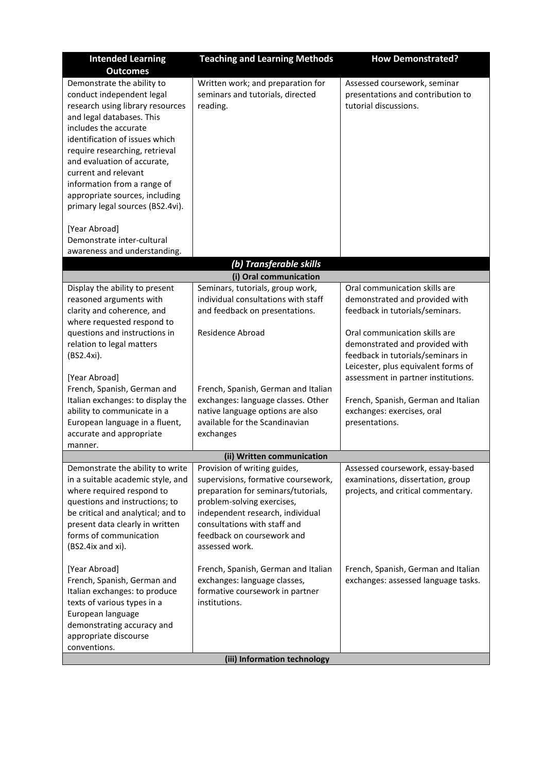| <b>Intended Learning</b>                                                                                                                                                                                                                                                                                                                                                          | <b>Teaching and Learning Methods</b>                                                                                                                                                                                                                         |                                                                                                                                             |  |  |  |  |  |  |  |
|-----------------------------------------------------------------------------------------------------------------------------------------------------------------------------------------------------------------------------------------------------------------------------------------------------------------------------------------------------------------------------------|--------------------------------------------------------------------------------------------------------------------------------------------------------------------------------------------------------------------------------------------------------------|---------------------------------------------------------------------------------------------------------------------------------------------|--|--|--|--|--|--|--|
| <b>Outcomes</b>                                                                                                                                                                                                                                                                                                                                                                   |                                                                                                                                                                                                                                                              |                                                                                                                                             |  |  |  |  |  |  |  |
| Demonstrate the ability to<br>conduct independent legal<br>research using library resources<br>and legal databases. This<br>includes the accurate<br>identification of issues which<br>require researching, retrieval<br>and evaluation of accurate,<br>current and relevant<br>information from a range of<br>appropriate sources, including<br>primary legal sources (BS2.4vi). | Written work; and preparation for<br>seminars and tutorials, directed<br>reading.                                                                                                                                                                            | Assessed coursework, seminar<br>presentations and contribution to<br>tutorial discussions.                                                  |  |  |  |  |  |  |  |
| [Year Abroad]<br>Demonstrate inter-cultural<br>awareness and understanding.                                                                                                                                                                                                                                                                                                       |                                                                                                                                                                                                                                                              |                                                                                                                                             |  |  |  |  |  |  |  |
|                                                                                                                                                                                                                                                                                                                                                                                   | (b) Transferable skills                                                                                                                                                                                                                                      |                                                                                                                                             |  |  |  |  |  |  |  |
|                                                                                                                                                                                                                                                                                                                                                                                   | (i) Oral communication                                                                                                                                                                                                                                       |                                                                                                                                             |  |  |  |  |  |  |  |
| Display the ability to present<br>reasoned arguments with<br>clarity and coherence, and<br>where requested respond to                                                                                                                                                                                                                                                             | Seminars, tutorials, group work,<br>individual consultations with staff<br>and feedback on presentations.                                                                                                                                                    | Oral communication skills are<br>demonstrated and provided with<br>feedback in tutorials/seminars.                                          |  |  |  |  |  |  |  |
| questions and instructions in<br>relation to legal matters<br>(BS2.4xi).                                                                                                                                                                                                                                                                                                          | Residence Abroad                                                                                                                                                                                                                                             | Oral communication skills are<br>demonstrated and provided with<br>feedback in tutorials/seminars in<br>Leicester, plus equivalent forms of |  |  |  |  |  |  |  |
| [Year Abroad]                                                                                                                                                                                                                                                                                                                                                                     |                                                                                                                                                                                                                                                              | assessment in partner institutions.                                                                                                         |  |  |  |  |  |  |  |
| French, Spanish, German and                                                                                                                                                                                                                                                                                                                                                       | French, Spanish, German and Italian                                                                                                                                                                                                                          |                                                                                                                                             |  |  |  |  |  |  |  |
| Italian exchanges: to display the<br>ability to communicate in a<br>European language in a fluent,<br>accurate and appropriate<br>manner.                                                                                                                                                                                                                                         | exchanges: language classes. Other<br>native language options are also<br>available for the Scandinavian<br>exchanges                                                                                                                                        | French, Spanish, German and Italian<br>exchanges: exercises, oral<br>presentations.                                                         |  |  |  |  |  |  |  |
|                                                                                                                                                                                                                                                                                                                                                                                   | (ii) Written communication                                                                                                                                                                                                                                   |                                                                                                                                             |  |  |  |  |  |  |  |
| Demonstrate the ability to write<br>in a suitable academic style, and<br>where required respond to<br>questions and instructions; to<br>be critical and analytical; and to<br>present data clearly in written<br>forms of communication<br>(BS2.4ix and xi).                                                                                                                      | Provision of writing guides,<br>supervisions, formative coursework,<br>preparation for seminars/tutorials,<br>problem-solving exercises,<br>independent research, individual<br>consultations with staff and<br>feedback on coursework and<br>assessed work. | Assessed coursework, essay-based<br>examinations, dissertation, group<br>projects, and critical commentary.                                 |  |  |  |  |  |  |  |
| [Year Abroad]<br>French, Spanish, German and<br>Italian exchanges: to produce<br>texts of various types in a<br>European language<br>demonstrating accuracy and<br>appropriate discourse                                                                                                                                                                                          | French, Spanish, German and Italian<br>exchanges: language classes,<br>formative coursework in partner<br>institutions.                                                                                                                                      | French, Spanish, German and Italian<br>exchanges: assessed language tasks.                                                                  |  |  |  |  |  |  |  |
| conventions.                                                                                                                                                                                                                                                                                                                                                                      |                                                                                                                                                                                                                                                              |                                                                                                                                             |  |  |  |  |  |  |  |
|                                                                                                                                                                                                                                                                                                                                                                                   | (iii) Information technology                                                                                                                                                                                                                                 |                                                                                                                                             |  |  |  |  |  |  |  |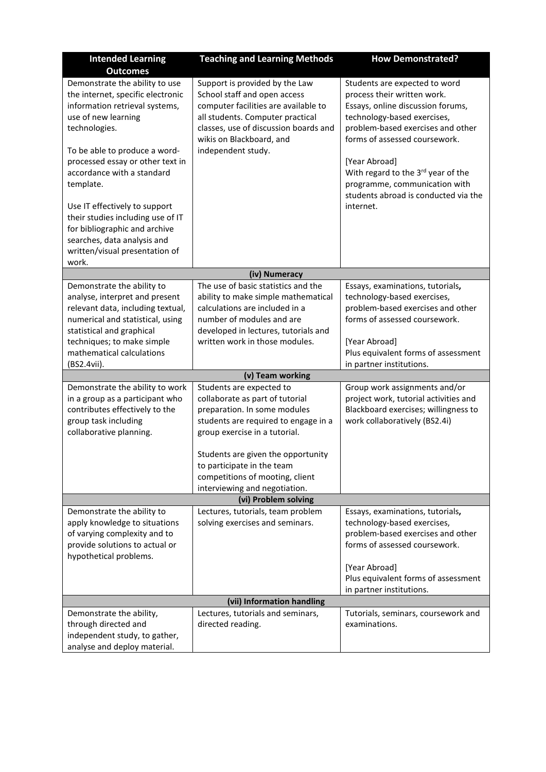| <b>Intended Learning</b>                                                                                                                                                                                                                                                                                                                                                                                                                       | <b>How Demonstrated?</b>                                                                                                                                                                                                                 |                                                                                                                                                                                                                                                                                                                                                     |  |  |  |  |  |  |  |  |  |  |
|------------------------------------------------------------------------------------------------------------------------------------------------------------------------------------------------------------------------------------------------------------------------------------------------------------------------------------------------------------------------------------------------------------------------------------------------|------------------------------------------------------------------------------------------------------------------------------------------------------------------------------------------------------------------------------------------|-----------------------------------------------------------------------------------------------------------------------------------------------------------------------------------------------------------------------------------------------------------------------------------------------------------------------------------------------------|--|--|--|--|--|--|--|--|--|--|
| <b>Outcomes</b>                                                                                                                                                                                                                                                                                                                                                                                                                                | <b>Teaching and Learning Methods</b>                                                                                                                                                                                                     |                                                                                                                                                                                                                                                                                                                                                     |  |  |  |  |  |  |  |  |  |  |
| Demonstrate the ability to use<br>the internet, specific electronic<br>information retrieval systems,<br>use of new learning<br>technologies.<br>To be able to produce a word-<br>processed essay or other text in<br>accordance with a standard<br>template.<br>Use IT effectively to support<br>their studies including use of IT<br>for bibliographic and archive<br>searches, data analysis and<br>written/visual presentation of<br>work. | Support is provided by the Law<br>School staff and open access<br>computer facilities are available to<br>all students. Computer practical<br>classes, use of discussion boards and<br>wikis on Blackboard, and<br>independent study.    | Students are expected to word<br>process their written work.<br>Essays, online discussion forums,<br>technology-based exercises,<br>problem-based exercises and other<br>forms of assessed coursework.<br>[Year Abroad]<br>With regard to the 3rd year of the<br>programme, communication with<br>students abroad is conducted via the<br>internet. |  |  |  |  |  |  |  |  |  |  |
|                                                                                                                                                                                                                                                                                                                                                                                                                                                | (iv) Numeracy                                                                                                                                                                                                                            |                                                                                                                                                                                                                                                                                                                                                     |  |  |  |  |  |  |  |  |  |  |
| Demonstrate the ability to<br>analyse, interpret and present<br>relevant data, including textual,<br>numerical and statistical, using<br>statistical and graphical<br>techniques; to make simple<br>mathematical calculations<br>(BS2.4vii).                                                                                                                                                                                                   | The use of basic statistics and the<br>ability to make simple mathematical<br>calculations are included in a<br>number of modules and are<br>developed in lectures, tutorials and<br>written work in those modules.                      | Essays, examinations, tutorials,<br>technology-based exercises,<br>problem-based exercises and other<br>forms of assessed coursework.<br>[Year Abroad]<br>Plus equivalent forms of assessment<br>in partner institutions.                                                                                                                           |  |  |  |  |  |  |  |  |  |  |
|                                                                                                                                                                                                                                                                                                                                                                                                                                                | (v) Team working                                                                                                                                                                                                                         |                                                                                                                                                                                                                                                                                                                                                     |  |  |  |  |  |  |  |  |  |  |
| Demonstrate the ability to work<br>in a group as a participant who<br>contributes effectively to the<br>group task including<br>collaborative planning.                                                                                                                                                                                                                                                                                        | Students are expected to<br>collaborate as part of tutorial<br>preparation. In some modules<br>students are required to engage in a<br>group exercise in a tutorial.<br>Students are given the opportunity<br>to participate in the team | Group work assignments and/or<br>project work, tutorial activities and<br>Blackboard exercises; willingness to<br>work collaboratively (BS2.4i)                                                                                                                                                                                                     |  |  |  |  |  |  |  |  |  |  |
|                                                                                                                                                                                                                                                                                                                                                                                                                                                | competitions of mooting, client<br>interviewing and negotiation.                                                                                                                                                                         |                                                                                                                                                                                                                                                                                                                                                     |  |  |  |  |  |  |  |  |  |  |
|                                                                                                                                                                                                                                                                                                                                                                                                                                                | (vi) Problem solving                                                                                                                                                                                                                     |                                                                                                                                                                                                                                                                                                                                                     |  |  |  |  |  |  |  |  |  |  |
| Demonstrate the ability to<br>apply knowledge to situations<br>of varying complexity and to<br>provide solutions to actual or                                                                                                                                                                                                                                                                                                                  | Lectures, tutorials, team problem<br>solving exercises and seminars.                                                                                                                                                                     | Essays, examinations, tutorials,<br>technology-based exercises,<br>problem-based exercises and other<br>forms of assessed coursework.                                                                                                                                                                                                               |  |  |  |  |  |  |  |  |  |  |
| hypothetical problems.                                                                                                                                                                                                                                                                                                                                                                                                                         |                                                                                                                                                                                                                                          | [Year Abroad]<br>Plus equivalent forms of assessment                                                                                                                                                                                                                                                                                                |  |  |  |  |  |  |  |  |  |  |
|                                                                                                                                                                                                                                                                                                                                                                                                                                                |                                                                                                                                                                                                                                          | in partner institutions.                                                                                                                                                                                                                                                                                                                            |  |  |  |  |  |  |  |  |  |  |
|                                                                                                                                                                                                                                                                                                                                                                                                                                                | (vii) Information handling                                                                                                                                                                                                               |                                                                                                                                                                                                                                                                                                                                                     |  |  |  |  |  |  |  |  |  |  |
| Demonstrate the ability,<br>through directed and<br>independent study, to gather,<br>analyse and deploy material.                                                                                                                                                                                                                                                                                                                              | Lectures, tutorials and seminars,<br>directed reading.                                                                                                                                                                                   | Tutorials, seminars, coursework and<br>examinations.                                                                                                                                                                                                                                                                                                |  |  |  |  |  |  |  |  |  |  |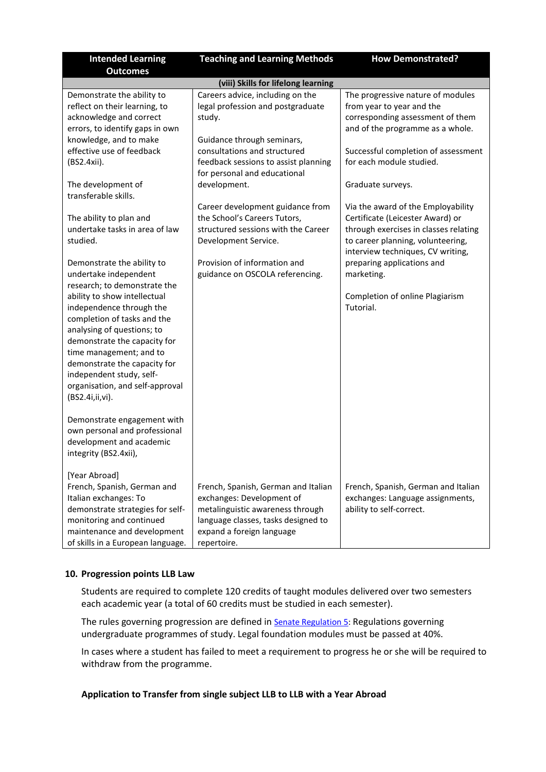| <b>Intended Learning</b>                                                                                                                                                                                                                                                                                                                                                                                                                                                                                | <b>Teaching and Learning Methods</b>                                                                                                                                                                                                                                                                      | <b>How Demonstrated?</b>                                                                                                                                                                                                                                                                                 |  |  |  |  |  |  |  |  |  |  |
|---------------------------------------------------------------------------------------------------------------------------------------------------------------------------------------------------------------------------------------------------------------------------------------------------------------------------------------------------------------------------------------------------------------------------------------------------------------------------------------------------------|-----------------------------------------------------------------------------------------------------------------------------------------------------------------------------------------------------------------------------------------------------------------------------------------------------------|----------------------------------------------------------------------------------------------------------------------------------------------------------------------------------------------------------------------------------------------------------------------------------------------------------|--|--|--|--|--|--|--|--|--|--|
| <b>Outcomes</b>                                                                                                                                                                                                                                                                                                                                                                                                                                                                                         |                                                                                                                                                                                                                                                                                                           |                                                                                                                                                                                                                                                                                                          |  |  |  |  |  |  |  |  |  |  |
|                                                                                                                                                                                                                                                                                                                                                                                                                                                                                                         | (viii) Skills for lifelong learning                                                                                                                                                                                                                                                                       |                                                                                                                                                                                                                                                                                                          |  |  |  |  |  |  |  |  |  |  |
| Demonstrate the ability to<br>reflect on their learning, to<br>acknowledge and correct<br>errors, to identify gaps in own<br>knowledge, and to make<br>effective use of feedback<br>(BS2.4xii).<br>The development of<br>transferable skills.<br>The ability to plan and                                                                                                                                                                                                                                | Careers advice, including on the<br>legal profession and postgraduate<br>study.<br>Guidance through seminars,<br>consultations and structured<br>feedback sessions to assist planning<br>for personal and educational<br>development.<br>Career development guidance from<br>the School's Careers Tutors, | The progressive nature of modules<br>from year to year and the<br>corresponding assessment of them<br>and of the programme as a whole.<br>Successful completion of assessment<br>for each module studied.<br>Graduate surveys.<br>Via the award of the Employability<br>Certificate (Leicester Award) or |  |  |  |  |  |  |  |  |  |  |
| undertake tasks in area of law<br>studied.<br>Demonstrate the ability to<br>undertake independent<br>research; to demonstrate the<br>ability to show intellectual<br>independence through the<br>completion of tasks and the<br>analysing of questions; to<br>demonstrate the capacity for<br>time management; and to<br>demonstrate the capacity for<br>independent study, self-<br>organisation, and self-approval<br>(BS2.4i,ii,vi).<br>Demonstrate engagement with<br>own personal and professional | structured sessions with the Career<br>Development Service.<br>Provision of information and<br>guidance on OSCOLA referencing.                                                                                                                                                                            | through exercises in classes relating<br>to career planning, volunteering,<br>interview techniques, CV writing,<br>preparing applications and<br>marketing.<br>Completion of online Plagiarism<br>Tutorial.                                                                                              |  |  |  |  |  |  |  |  |  |  |
| development and academic<br>integrity (BS2.4xii),<br>[Year Abroad]<br>French, Spanish, German and<br>Italian exchanges: To<br>demonstrate strategies for self-<br>monitoring and continued<br>maintenance and development<br>of skills in a European language.                                                                                                                                                                                                                                          | French, Spanish, German and Italian<br>exchanges: Development of<br>metalinguistic awareness through<br>language classes, tasks designed to<br>expand a foreign language<br>repertoire.                                                                                                                   | French, Spanish, German and Italian<br>exchanges: Language assignments,<br>ability to self-correct.                                                                                                                                                                                                      |  |  |  |  |  |  |  |  |  |  |

# **10. Progression points LLB Law**

Students are required to complete 120 credits of taught modules delivered over two semesters each academic year (a total of 60 credits must be studied in each semester).

The rules governing progression are defined in [Senate Regulation 5:](https://www2.le.ac.uk/offices/sas2/regulations/documents/senatereg5-undergraduates) Regulations governing undergraduate programmes of study. Legal foundation modules must be passed at 40%.

In cases where a student has failed to meet a requirement to progress he or she will be required to withdraw from the programme.

## **Application to Transfer from single subject LLB to LLB with a Year Abroad**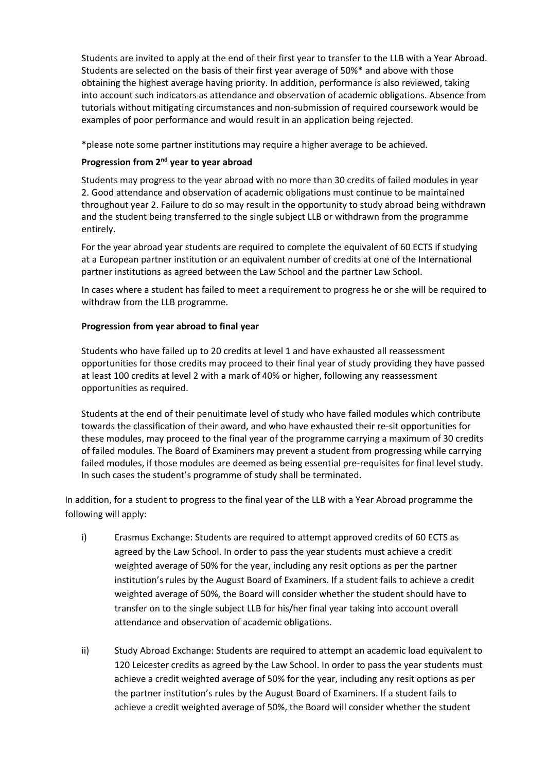Students are invited to apply at the end of their first year to transfer to the LLB with a Year Abroad. Students are selected on the basis of their first year average of 50%\* and above with those obtaining the highest average having priority. In addition, performance is also reviewed, taking into account such indicators as attendance and observation of academic obligations. Absence from tutorials without mitigating circumstances and non-submission of required coursework would be examples of poor performance and would result in an application being rejected.

\*please note some partner institutions may require a higher average to be achieved.

# **Progression from 2nd year to year abroad**

Students may progress to the year abroad with no more than 30 credits of failed modules in year 2. Good attendance and observation of academic obligations must continue to be maintained throughout year 2. Failure to do so may result in the opportunity to study abroad being withdrawn and the student being transferred to the single subject LLB or withdrawn from the programme entirely.

For the year abroad year students are required to complete the equivalent of 60 ECTS if studying at a European partner institution or an equivalent number of credits at one of the International partner institutions as agreed between the Law School and the partner Law School.

In cases where a student has failed to meet a requirement to progress he or she will be required to withdraw from the LLB programme.

# **Progression from year abroad to final year**

Students who have failed up to 20 credits at level 1 and have exhausted all reassessment opportunities for those credits may proceed to their final year of study providing they have passed at least 100 credits at level 2 with a mark of 40% or higher, following any reassessment opportunities as required.

Students at the end of their penultimate level of study who have failed modules which contribute towards the classification of their award, and who have exhausted their re-sit opportunities for these modules, may proceed to the final year of the programme carrying a maximum of 30 credits of failed modules. The Board of Examiners may prevent a student from progressing while carrying failed modules, if those modules are deemed as being essential pre-requisites for final level study. In such cases the student's programme of study shall be terminated.

In addition, for a student to progress to the final year of the LLB with a Year Abroad programme the following will apply:

- i) Erasmus Exchange: Students are required to attempt approved credits of 60 ECTS as agreed by the Law School. In order to pass the year students must achieve a credit weighted average of 50% for the year, including any resit options as per the partner institution's rules by the August Board of Examiners. If a student fails to achieve a credit weighted average of 50%, the Board will consider whether the student should have to transfer on to the single subject LLB for his/her final year taking into account overall attendance and observation of academic obligations.
- ii) Study Abroad Exchange: Students are required to attempt an academic load equivalent to 120 Leicester credits as agreed by the Law School. In order to pass the year students must achieve a credit weighted average of 50% for the year, including any resit options as per the partner institution's rules by the August Board of Examiners. If a student fails to achieve a credit weighted average of 50%, the Board will consider whether the student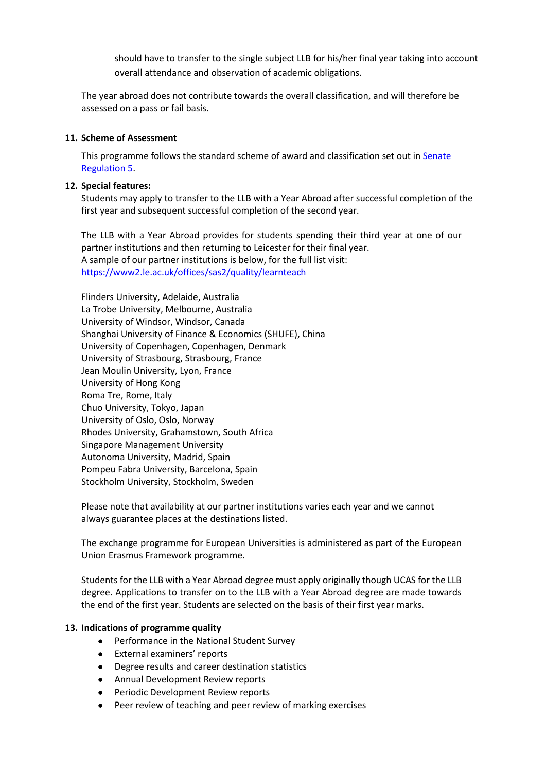should have to transfer to the single subject LLB for his/her final year taking into account overall attendance and observation of academic obligations.

The year abroad does not contribute towards the overall classification, and will therefore be assessed on a pass or fail basis.

## **11. Scheme of Assessment**

This programme follows the standard scheme of award and classification set out in [Senate](https://www2.le.ac.uk/offices/sas2/regulations/documents/senatereg5-undergraduates)  [Regulation 5.](https://www2.le.ac.uk/offices/sas2/regulations/documents/senatereg5-undergraduates)

# **12. Special features:**

Students may apply to transfer to the LLB with a Year Abroad after successful completion of the first year and subsequent successful completion of the second year.

The LLB with a Year Abroad provides for students spending their third year at one of our partner institutions and then returning to Leicester for their final year. A sample of our partner institutions is below, for the full list visit: <https://www2.le.ac.uk/offices/sas2/quality/learnteach>

Flinders University, Adelaide, Australia La Trobe University, Melbourne, Australia University of Windsor, Windsor, Canada Shanghai University of Finance & Economics (SHUFE), China University of Copenhagen, Copenhagen, Denmark University of Strasbourg, Strasbourg, France Jean Moulin University, Lyon, France University of Hong Kong Roma Tre, Rome, Italy Chuo University, Tokyo, Japan University of Oslo, Oslo, Norway Rhodes University, Grahamstown, South Africa Singapore Management University Autonoma University, Madrid, Spain Pompeu Fabra University, Barcelona, Spain Stockholm University, Stockholm, Sweden

Please note that availability at our partner institutions varies each year and we cannot always guarantee places at the destinations listed.

The exchange programme for European Universities is administered as part of the European Union Erasmus Framework programme.

Students for the LLB with a Year Abroad degree must apply originally though UCAS for the LLB degree. Applications to transfer on to the LLB with a Year Abroad degree are made towards the end of the first year. Students are selected on the basis of their first year marks.

#### **13. Indications of programme quality**

- Performance in the National Student Survey
- External examiners' reports
- Degree results and career destination statistics
- Annual Development Review reports
- Periodic Development Review reports
- Peer review of teaching and peer review of marking exercises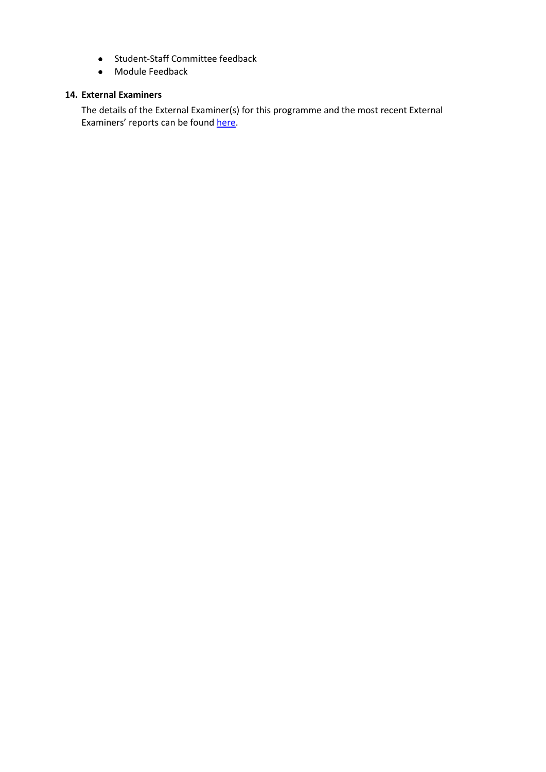- Student-Staff Committee feedback
- Module Feedback

#### **14. External Examiners**

The details of the External Examiner(s) for this programme and the most recent External Examiners' reports can be found [here.](https://exampapers.le.ac.uk/xmlui/handle/123456789/8)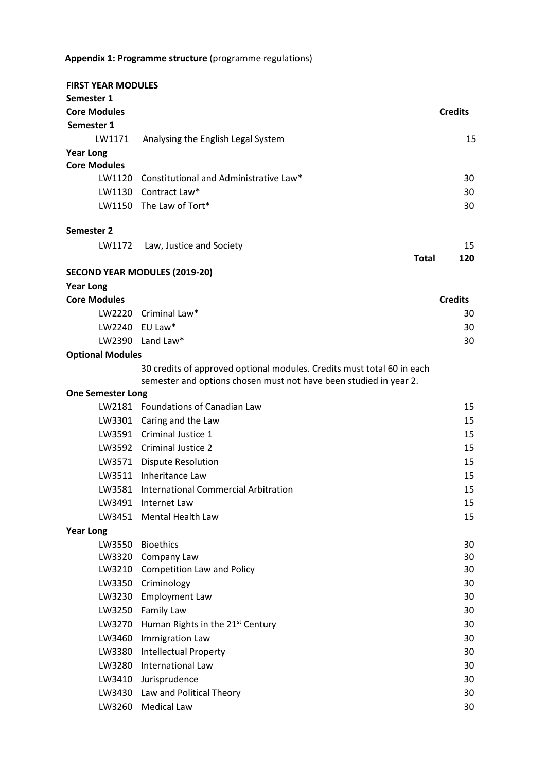# **Appendix 1: Programme structure** (programme regulations)

| <b>Core Modules</b><br><b>Credits</b><br>Semester 1<br>15<br>LW1171<br>Analysing the English Legal System<br><b>Year Long</b><br><b>Core Modules</b><br>LW1120 Constitutional and Administrative Law*<br>30<br>LW1130 Contract Law*<br>30<br>LW1150 The Law of Tort*<br>30<br>Semester 2<br>15<br>LW1172<br>Law, Justice and Society<br>120<br>Total<br><b>SECOND YEAR MODULES (2019-20)</b><br><b>Year Long</b><br><b>Core Modules</b><br><b>Credits</b><br>LW2220 Criminal Law*<br>30<br>LW2240 EU Law*<br>30<br>LW2390 Land Law*<br>30<br><b>Optional Modules</b><br>30 credits of approved optional modules. Credits must total 60 in each |
|------------------------------------------------------------------------------------------------------------------------------------------------------------------------------------------------------------------------------------------------------------------------------------------------------------------------------------------------------------------------------------------------------------------------------------------------------------------------------------------------------------------------------------------------------------------------------------------------------------------------------------------------|
|                                                                                                                                                                                                                                                                                                                                                                                                                                                                                                                                                                                                                                                |
|                                                                                                                                                                                                                                                                                                                                                                                                                                                                                                                                                                                                                                                |
|                                                                                                                                                                                                                                                                                                                                                                                                                                                                                                                                                                                                                                                |
|                                                                                                                                                                                                                                                                                                                                                                                                                                                                                                                                                                                                                                                |
|                                                                                                                                                                                                                                                                                                                                                                                                                                                                                                                                                                                                                                                |
|                                                                                                                                                                                                                                                                                                                                                                                                                                                                                                                                                                                                                                                |
|                                                                                                                                                                                                                                                                                                                                                                                                                                                                                                                                                                                                                                                |
|                                                                                                                                                                                                                                                                                                                                                                                                                                                                                                                                                                                                                                                |
|                                                                                                                                                                                                                                                                                                                                                                                                                                                                                                                                                                                                                                                |
|                                                                                                                                                                                                                                                                                                                                                                                                                                                                                                                                                                                                                                                |
|                                                                                                                                                                                                                                                                                                                                                                                                                                                                                                                                                                                                                                                |
|                                                                                                                                                                                                                                                                                                                                                                                                                                                                                                                                                                                                                                                |
|                                                                                                                                                                                                                                                                                                                                                                                                                                                                                                                                                                                                                                                |
|                                                                                                                                                                                                                                                                                                                                                                                                                                                                                                                                                                                                                                                |
|                                                                                                                                                                                                                                                                                                                                                                                                                                                                                                                                                                                                                                                |
|                                                                                                                                                                                                                                                                                                                                                                                                                                                                                                                                                                                                                                                |
|                                                                                                                                                                                                                                                                                                                                                                                                                                                                                                                                                                                                                                                |
|                                                                                                                                                                                                                                                                                                                                                                                                                                                                                                                                                                                                                                                |
| semester and options chosen must not have been studied in year 2.                                                                                                                                                                                                                                                                                                                                                                                                                                                                                                                                                                              |
| <b>One Semester Long</b>                                                                                                                                                                                                                                                                                                                                                                                                                                                                                                                                                                                                                       |
| LW2181 Foundations of Canadian Law<br>15                                                                                                                                                                                                                                                                                                                                                                                                                                                                                                                                                                                                       |
| LW3301 Caring and the Law<br>15                                                                                                                                                                                                                                                                                                                                                                                                                                                                                                                                                                                                                |
| LW3591 Criminal Justice 1<br>15                                                                                                                                                                                                                                                                                                                                                                                                                                                                                                                                                                                                                |
| 15<br>LW3592 Criminal Justice 2                                                                                                                                                                                                                                                                                                                                                                                                                                                                                                                                                                                                                |
| LW3571 Dispute Resolution<br>15                                                                                                                                                                                                                                                                                                                                                                                                                                                                                                                                                                                                                |
| LW3511 Inheritance Law<br>15                                                                                                                                                                                                                                                                                                                                                                                                                                                                                                                                                                                                                   |
| LW3581<br>International Commercial Arbitration<br>15                                                                                                                                                                                                                                                                                                                                                                                                                                                                                                                                                                                           |
| LW3491<br>Internet Law<br>15                                                                                                                                                                                                                                                                                                                                                                                                                                                                                                                                                                                                                   |
| 15<br>Mental Health Law<br>LW3451                                                                                                                                                                                                                                                                                                                                                                                                                                                                                                                                                                                                              |
| <b>Year Long</b>                                                                                                                                                                                                                                                                                                                                                                                                                                                                                                                                                                                                                               |
| LW3550<br><b>Bioethics</b><br>30                                                                                                                                                                                                                                                                                                                                                                                                                                                                                                                                                                                                               |
| Company Law<br>LW3320<br>30                                                                                                                                                                                                                                                                                                                                                                                                                                                                                                                                                                                                                    |
| <b>Competition Law and Policy</b><br>LW3210<br>30                                                                                                                                                                                                                                                                                                                                                                                                                                                                                                                                                                                              |
| Criminology<br>30<br>LW3350                                                                                                                                                                                                                                                                                                                                                                                                                                                                                                                                                                                                                    |
| <b>Employment Law</b><br>LW3230<br>30                                                                                                                                                                                                                                                                                                                                                                                                                                                                                                                                                                                                          |
| LW3250<br>Family Law<br>30                                                                                                                                                                                                                                                                                                                                                                                                                                                                                                                                                                                                                     |
| Human Rights in the 21st Century<br>LW3270<br>30<br>30                                                                                                                                                                                                                                                                                                                                                                                                                                                                                                                                                                                         |
| Immigration Law<br>LW3460<br><b>Intellectual Property</b><br>LW3380<br>30                                                                                                                                                                                                                                                                                                                                                                                                                                                                                                                                                                      |
| <b>International Law</b><br>LW3280<br>30                                                                                                                                                                                                                                                                                                                                                                                                                                                                                                                                                                                                       |
| Jurisprudence<br>LW3410<br>30                                                                                                                                                                                                                                                                                                                                                                                                                                                                                                                                                                                                                  |
| Law and Political Theory<br>30<br>LW3430                                                                                                                                                                                                                                                                                                                                                                                                                                                                                                                                                                                                       |
| <b>Medical Law</b><br>LW3260<br>30                                                                                                                                                                                                                                                                                                                                                                                                                                                                                                                                                                                                             |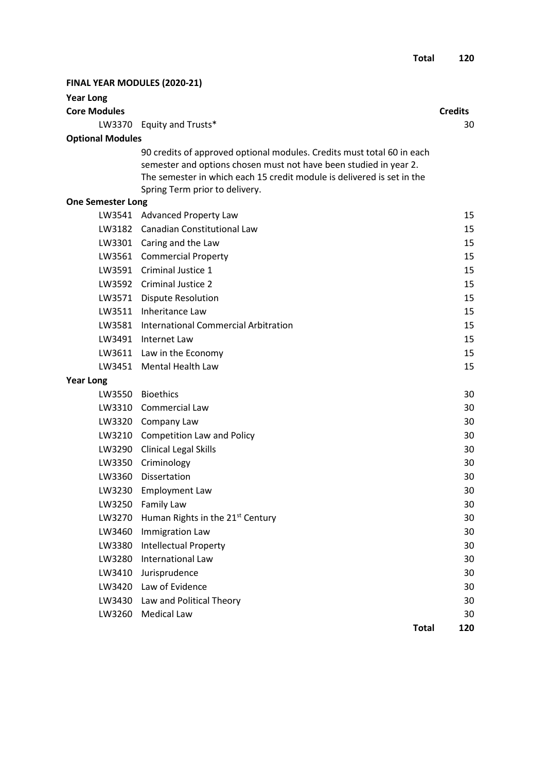| <b>Year Long</b><br><b>Core Modules</b> |                                                                                                                                                                                                                                                         | <b>Credits</b> |
|-----------------------------------------|---------------------------------------------------------------------------------------------------------------------------------------------------------------------------------------------------------------------------------------------------------|----------------|
|                                         | LW3370 Equity and Trusts*                                                                                                                                                                                                                               | 30             |
| <b>Optional Modules</b>                 |                                                                                                                                                                                                                                                         |                |
|                                         | 90 credits of approved optional modules. Credits must total 60 in each<br>semester and options chosen must not have been studied in year 2.<br>The semester in which each 15 credit module is delivered is set in the<br>Spring Term prior to delivery. |                |
| <b>One Semester Long</b>                |                                                                                                                                                                                                                                                         |                |
|                                         | LW3541 Advanced Property Law                                                                                                                                                                                                                            | 15             |
|                                         | LW3182 Canadian Constitutional Law                                                                                                                                                                                                                      | 15             |
|                                         | LW3301 Caring and the Law                                                                                                                                                                                                                               | 15             |
|                                         | LW3561 Commercial Property                                                                                                                                                                                                                              | 15             |
|                                         | LW3591 Criminal Justice 1                                                                                                                                                                                                                               | 15             |
|                                         | LW3592 Criminal Justice 2                                                                                                                                                                                                                               | 15             |
| LW3571                                  | <b>Dispute Resolution</b>                                                                                                                                                                                                                               | 15             |
|                                         | LW3511 Inheritance Law                                                                                                                                                                                                                                  | 15             |
|                                         | LW3581 International Commercial Arbitration                                                                                                                                                                                                             | 15             |
|                                         | LW3491 Internet Law                                                                                                                                                                                                                                     | 15             |
|                                         | LW3611 Law in the Economy                                                                                                                                                                                                                               | 15             |
|                                         | LW3451 Mental Health Law                                                                                                                                                                                                                                | 15             |
| <b>Year Long</b>                        |                                                                                                                                                                                                                                                         |                |
|                                         | LW3550 Bioethics                                                                                                                                                                                                                                        | 30             |
|                                         | LW3310 Commercial Law                                                                                                                                                                                                                                   | 30             |
|                                         | LW3320 Company Law                                                                                                                                                                                                                                      | 30             |
|                                         | LW3210 Competition Law and Policy                                                                                                                                                                                                                       | 30             |
|                                         | LW3290 Clinical Legal Skills                                                                                                                                                                                                                            | 30             |
|                                         | LW3350 Criminology                                                                                                                                                                                                                                      | 30             |
|                                         | LW3360 Dissertation                                                                                                                                                                                                                                     | 30             |
|                                         | LW3230 Employment Law                                                                                                                                                                                                                                   | 30             |
|                                         | LW3250 Family Law                                                                                                                                                                                                                                       | 30             |
| LW3270                                  | Human Rights in the 21 <sup>st</sup> Century                                                                                                                                                                                                            | 30             |
| LW3460                                  | Immigration Law                                                                                                                                                                                                                                         | 30             |
| LW3380                                  | <b>Intellectual Property</b>                                                                                                                                                                                                                            | 30             |
| LW3280                                  | International Law                                                                                                                                                                                                                                       | 30             |
| LW3410                                  | Jurisprudence                                                                                                                                                                                                                                           | 30             |
|                                         | LW3420 Law of Evidence                                                                                                                                                                                                                                  | 30             |
| LW3430                                  | Law and Political Theory                                                                                                                                                                                                                                | 30             |
|                                         | LW3260 Medical Law                                                                                                                                                                                                                                      | 30             |
|                                         | <b>Total</b>                                                                                                                                                                                                                                            | 120            |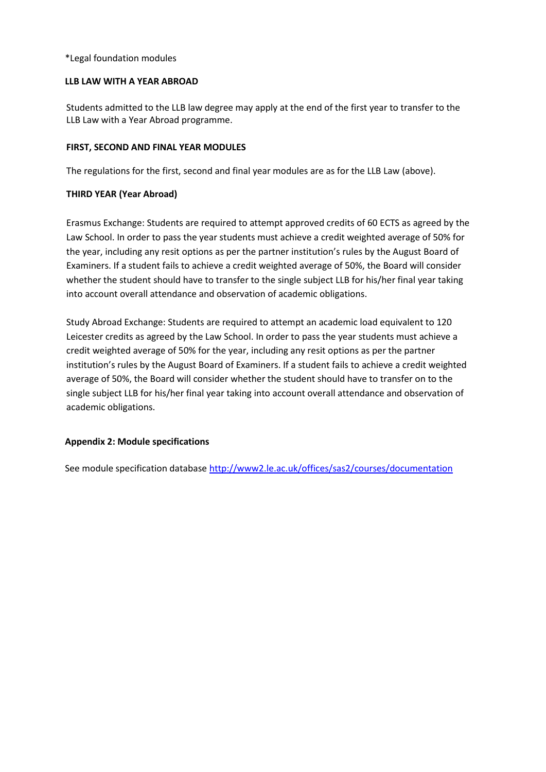# \*Legal foundation modules

#### **LLB LAW WITH A YEAR ABROAD**

Students admitted to the LLB law degree may apply at the end of the first year to transfer to the LLB Law with a Year Abroad programme.

# **FIRST, SECOND AND FINAL YEAR MODULES**

The regulations for the first, second and final year modules are as for the LLB Law (above).

# **THIRD YEAR (Year Abroad)**

Erasmus Exchange: Students are required to attempt approved credits of 60 ECTS as agreed by the Law School. In order to pass the year students must achieve a credit weighted average of 50% for the year, including any resit options as per the partner institution's rules by the August Board of Examiners. If a student fails to achieve a credit weighted average of 50%, the Board will consider whether the student should have to transfer to the single subject LLB for his/her final year taking into account overall attendance and observation of academic obligations.

Study Abroad Exchange: Students are required to attempt an academic load equivalent to 120 Leicester credits as agreed by the Law School. In order to pass the year students must achieve a credit weighted average of 50% for the year, including any resit options as per the partner institution's rules by the August Board of Examiners. If a student fails to achieve a credit weighted average of 50%, the Board will consider whether the student should have to transfer on to the single subject LLB for his/her final year taking into account overall attendance and observation of academic obligations.

# **Appendix 2: Module specifications**

See module specification database <http://www2.le.ac.uk/offices/sas2/courses/documentation>